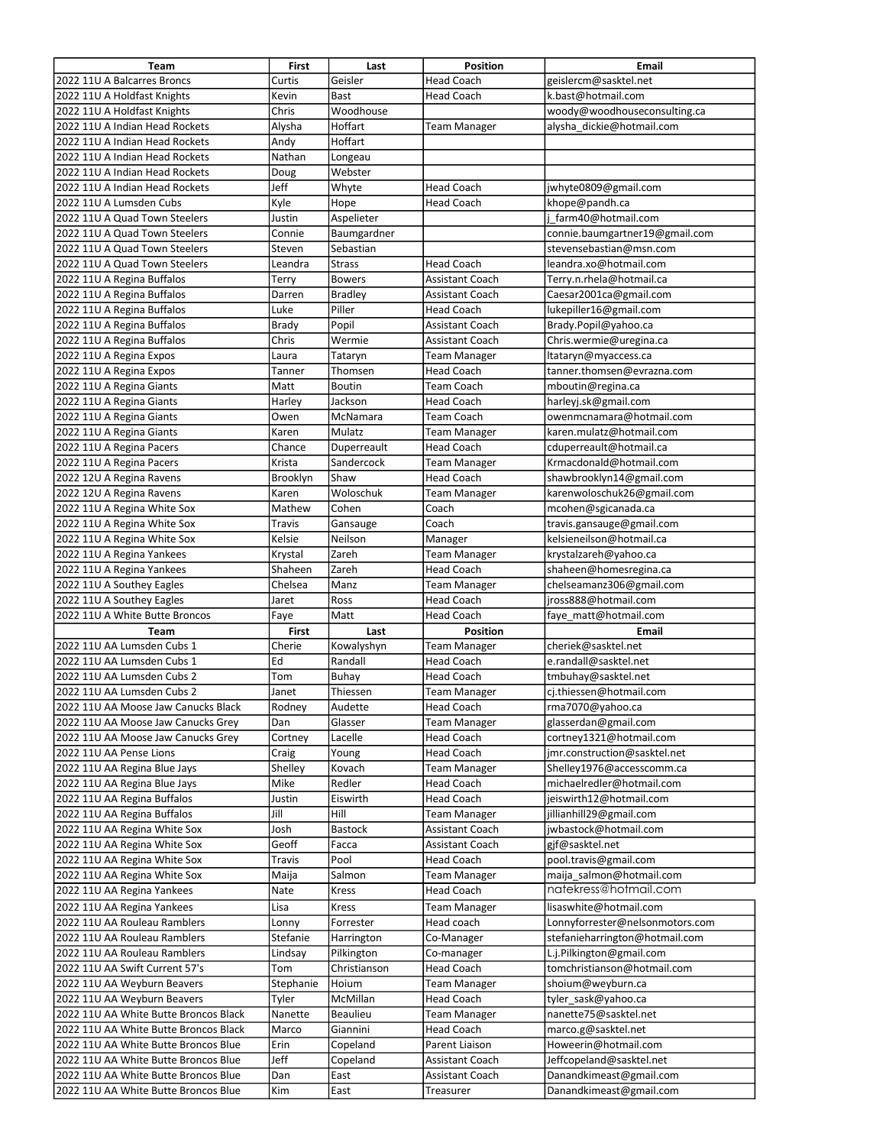| Team                                  | First     | Last           | <b>Position</b>        | <b>Email</b>                    |
|---------------------------------------|-----------|----------------|------------------------|---------------------------------|
| 2022 11U A Balcarres Broncs           | Curtis    | Geisler        | <b>Head Coach</b>      | geislercm@sasktel.net           |
| 2022 11U A Holdfast Knights           | Kevin     | Bast           | <b>Head Coach</b>      | k.bast@hotmail.com              |
| 2022 11U A Holdfast Knights           | Chris     | Woodhouse      |                        | woody@woodhouseconsulting.ca    |
| 2022 11U A Indian Head Rockets        | Alysha    | Hoffart        | Team Manager           | alysha dickie@hotmail.com       |
| 2022 11U A Indian Head Rockets        | Andy      | Hoffart        |                        |                                 |
| 2022 11U A Indian Head Rockets        | Nathan    | Longeau        |                        |                                 |
| 2022 11U A Indian Head Rockets        | Doug      | Webster        |                        |                                 |
| 2022 11U A Indian Head Rockets        | Jeff      | Whyte          | <b>Head Coach</b>      | jwhyte0809@gmail.com            |
| 2022 11U A Lumsden Cubs               | Kyle      | Hope           | <b>Head Coach</b>      | khope@pandh.ca                  |
| 2022 11U A Quad Town Steelers         | Justin    | Aspelieter     |                        | farm40@hotmail.com              |
| 2022 11U A Quad Town Steelers         | Connie    | Baumgardner    |                        | connie.baumgartner19@gmail.com  |
| 2022 11U A Quad Town Steelers         | Steven    | Sebastian      |                        | stevensebastian@msn.com         |
| 2022 11U A Quad Town Steelers         | Leandra   | <b>Strass</b>  | <b>Head Coach</b>      | leandra.xo@hotmail.com          |
| 2022 11U A Regina Buffalos            | Terry     | <b>Bowers</b>  | Assistant Coach        | Terry.n.rhela@hotmail.ca        |
| 2022 11U A Regina Buffalos            | Darren    | <b>Bradley</b> | <b>Assistant Coach</b> | Caesar2001ca@gmail.com          |
| 2022 11U A Regina Buffalos            | Luke      | Piller         | <b>Head Coach</b>      | lukepiller16@gmail.com          |
| 2022 11U A Regina Buffalos            |           | Popil          | <b>Assistant Coach</b> | Brady.Popil@yahoo.ca            |
|                                       | Brady     | Wermie         | Assistant Coach        |                                 |
| 2022 11U A Regina Buffalos            | Chris     |                |                        | Chris.wermie@uregina.ca         |
| 2022 11U A Regina Expos               | Laura     | Tataryn        | Team Manager           | ltataryn@myaccess.ca            |
| 2022 11U A Regina Expos               | Tanner    | Thomsen        | <b>Head Coach</b>      | tanner.thomsen@evrazna.com      |
| 2022 11U A Regina Giants              | Matt      | <b>Boutin</b>  | Team Coach             | mboutin@regina.ca               |
| 2022 11U A Regina Giants              | Harley    | Jackson        | Head Coach             | harleyj.sk@gmail.com            |
| 2022 11U A Regina Giants              | Owen      | McNamara       | Team Coach             | owenmcnamara@hotmail.com        |
| 2022 11U A Regina Giants              | Karen     | Mulatz         | Team Manager           | karen.mulatz@hotmail.com        |
| 2022 11U A Regina Pacers              | Chance    | Duperreault    | <b>Head Coach</b>      | cduperreault@hotmail.ca         |
| 2022 11U A Regina Pacers              | Krista    | Sandercock     | Team Manager           | Krmacdonald@hotmail.com         |
| 2022 12U A Regina Ravens              | Brooklyn  | Shaw           | <b>Head Coach</b>      | shawbrooklyn14@gmail.com        |
| 2022 12U A Regina Ravens              | Karen     | Woloschuk      | Team Manager           | karenwoloschuk26@gmail.com      |
| 2022 11U A Regina White Sox           | Mathew    | Cohen          | Coach                  | mcohen@sgicanada.ca             |
| 2022 11U A Regina White Sox           | Travis    | Gansauge       | Coach                  | travis.gansauge@gmail.com       |
| 2022 11U A Regina White Sox           | Kelsie    | Neilson        | Manager                | kelsieneilson@hotmail.ca        |
| 2022 11U A Regina Yankees             | Krystal   | Zareh          | <b>Team Manager</b>    | krystalzareh@yahoo.ca           |
| 2022 11U A Regina Yankees             | Shaheen   | Zareh          | <b>Head Coach</b>      | shaheen@homesregina.ca          |
| 2022 11U A Southey Eagles             | Chelsea   | Manz           | <b>Team Manager</b>    | chelseamanz306@gmail.com        |
| 2022 11U A Southey Eagles             | Jaret     | Ross           | <b>Head Coach</b>      | jross888@hotmail.com            |
| 2022 11U A White Butte Broncos        | Faye      | Matt           | <b>Head Coach</b>      | faye matt@hotmail.com           |
| Team                                  | First     | Last           | Position               | Email                           |
| 2022 11U AA Lumsden Cubs 1            | Cherie    | Kowalyshyn     | <b>Team Manager</b>    | cheriek@sasktel.net             |
| 2022 11U AA Lumsden Cubs 1            | Ed        | Randall        | <b>Head Coach</b>      | e.randall@sasktel.net           |
| 2022 11U AA Lumsden Cubs 2            | Tom       | Buhay          | <b>Head Coach</b>      | tmbuhay@sasktel.net             |
| 2022 11U AA Lumsden Cubs 2            | Janet     | Thiessen       | Team Manager           | ci.thiessen@hotmail.com         |
| 2022 11U AA Moose Jaw Canucks Black   | Rodney    | Audette        | <b>Head Coach</b>      | rma7070@yahoo.ca                |
| 2022 11U AA Moose Jaw Canucks Grey    | Dan       | Glasser        | Team Manager           | glasserdan@gmail.com            |
| 2022 11U AA Moose Jaw Canucks Grey    | Cortney   | Lacelle        | Head Coach             | cortney1321@hotmail.com         |
| 2022 11U AA Pense Lions               | Craig     | Young          | <b>Head Coach</b>      | jmr.construction@sasktel.net    |
| 2022 11U AA Regina Blue Jays          | Shelley   | Kovach         | <b>Team Manager</b>    | Shelley1976@accesscomm.ca       |
| 2022 11U AA Regina Blue Jays          | Mike      | Redler         | Head Coach             | michaelredler@hotmail.com       |
| 2022 11U AA Regina Buffalos           | Justin    | Eiswirth       | <b>Head Coach</b>      | jeiswirth12@hotmail.com         |
| 2022 11U AA Regina Buffalos           | Jill      | Hill           | Team Manager           | jillianhill29@gmail.com         |
| 2022 11U AA Regina White Sox          | Josh      | <b>Bastock</b> | Assistant Coach        | jwbastock@hotmail.com           |
| 2022 11U AA Regina White Sox          | Geoff     | Facca          | Assistant Coach        | gjf@sasktel.net                 |
| 2022 11U AA Regina White Sox          | Travis    | Pool           | Head Coach             | pool.travis@gmail.com           |
| 2022 11U AA Regina White Sox          | Maija     | Salmon         | Team Manager           | maija salmon@hotmail.com        |
| 2022 11U AA Regina Yankees            | Nate      | <b>Kress</b>   | <b>Head Coach</b>      | natekress@hotmail.com           |
|                                       |           |                |                        |                                 |
| 2022 11U AA Regina Yankees            | Lisa      | Kress          | Team Manager           | lisaswhite@hotmail.com          |
| 2022 11U AA Rouleau Ramblers          | Lonny     | Forrester      | Head coach             | Lonnyforrester@nelsonmotors.com |
| 2022 11U AA Rouleau Ramblers          | Stefanie  | Harrington     | Co-Manager             | stefanieharrington@hotmail.com  |
| 2022 11U AA Rouleau Ramblers          | Lindsay   | Pilkington     | Co-manager             | L.j.Pilkington@gmail.com        |
| 2022 11U AA Swift Current 57's        | Tom       | Christianson   | Head Coach             | tomchristianson@hotmail.com     |
| 2022 11U AA Weyburn Beavers           | Stephanie | Hoium          | Team Manager           | shoium@weyburn.ca               |
| 2022 11U AA Weyburn Beavers           | Tyler     | McMillan       | <b>Head Coach</b>      | tyler_sask@yahoo.ca             |
| 2022 11U AA White Butte Broncos Black | Nanette   | Beaulieu       | Team Manager           | nanette75@sasktel.net           |
| 2022 11U AA White Butte Broncos Black | Marco     | Giannini       | <b>Head Coach</b>      | marco.g@sasktel.net             |
| 2022 11U AA White Butte Broncos Blue  | Erin      | Copeland       | Parent Liaison         | Howeerin@hotmail.com            |
| 2022 11U AA White Butte Broncos Blue  | Jeff      | Copeland       | Assistant Coach        | Jeffcopeland@sasktel.net        |
| 2022 11U AA White Butte Broncos Blue  | Dan       | East           | Assistant Coach        | Danandkimeast@gmail.com         |
| 2022 11U AA White Butte Broncos Blue  | Kim       | East           | Treasurer              | Danandkimeast@gmail.com         |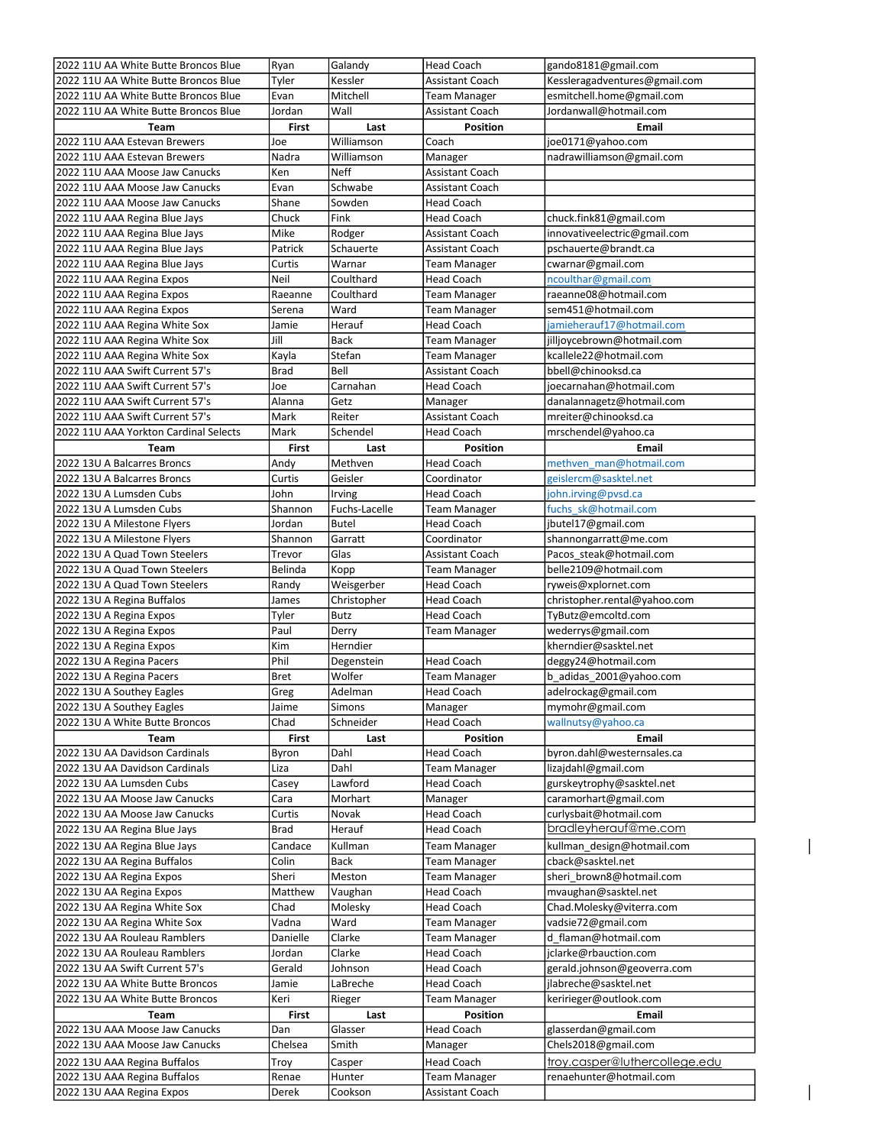| 2022 11U AA White Butte Broncos Blue                      | Ryan           | Galandy           | <b>Head Coach</b>               | gando8181@gmail.com           |
|-----------------------------------------------------------|----------------|-------------------|---------------------------------|-------------------------------|
| 2022 11U AA White Butte Broncos Blue                      | Tyler          | Kessler           | Assistant Coach                 | Kessleragadventures@gmail.com |
| 2022 11U AA White Butte Broncos Blue                      | Evan           | Mitchell          | Team Manager                    | esmitchell.home@gmail.com     |
| 2022 11U AA White Butte Broncos Blue                      | Jordan         | Wall              | Assistant Coach                 | Jordanwall@hotmail.com        |
| Team                                                      | <b>First</b>   | Last              | <b>Position</b>                 | <b>Email</b>                  |
| 2022 11U AAA Estevan Brewers                              | Joe            | Williamson        | Coach                           | joe0171@yahoo.com             |
| 2022 11U AAA Estevan Brewers                              | Nadra          | Williamson        |                                 | nadrawilliamson@gmail.com     |
|                                                           |                |                   | Manager                         |                               |
| 2022 11U AAA Moose Jaw Canucks                            | Ken            | <b>Neff</b>       | Assistant Coach                 |                               |
| 2022 11U AAA Moose Jaw Canucks                            | Evan           | Schwabe           | Assistant Coach                 |                               |
| 2022 11U AAA Moose Jaw Canucks                            | Shane          | Sowden            | Head Coach                      |                               |
| 2022 11U AAA Regina Blue Jays                             | Chuck          | Fink              | <b>Head Coach</b>               | chuck.fink81@gmail.com        |
| 2022 11U AAA Regina Blue Jays                             | Mike           | Rodger            | <b>Assistant Coach</b>          | innovativeelectric@gmail.com  |
| 2022 11U AAA Regina Blue Jays                             | Patrick        | Schauerte         | Assistant Coach                 | pschauerte@brandt.ca          |
| 2022 11U AAA Regina Blue Jays                             | Curtis         | Warnar            | <b>Team Manager</b>             | cwarnar@gmail.com             |
| 2022 11U AAA Regina Expos                                 | Neil           | Coulthard         | <b>Head Coach</b>               | ncoulthar@gmail.com           |
| 2022 11U AAA Regina Expos                                 | Raeanne        | Coulthard         | <b>Team Manager</b>             | raeanne08@hotmail.com         |
| 2022 11U AAA Regina Expos                                 | Serena         | Ward              | Team Manager                    | sem451@hotmail.com            |
| 2022 11U AAA Regina White Sox                             | Jamie          | Herauf            | <b>Head Coach</b>               | jamieherauf17@hotmail.com     |
|                                                           | Jill           | <b>Back</b>       |                                 |                               |
| 2022 11U AAA Regina White Sox                             |                |                   | Team Manager                    | jilljoycebrown@hotmail.com    |
| 2022 11U AAA Regina White Sox                             | Kayla          | Stefan            | <b>Team Manager</b>             | kcallele22@hotmail.com        |
| 2022 11U AAA Swift Current 57's                           | Brad           | Bell              | Assistant Coach                 | bbell@chinooksd.ca            |
| 2022 11U AAA Swift Current 57's                           | Joe            | Carnahan          | <b>Head Coach</b>               | joecarnahan@hotmail.com       |
| 2022 11U AAA Swift Current 57's                           | Alanna         | Getz              | Manager                         | danalannagetz@hotmail.com     |
| 2022 11U AAA Swift Current 57's                           | Mark           | Reiter            | Assistant Coach                 | mreiter@chinooksd.ca          |
| 2022 11U AAA Yorkton Cardinal Selects                     | Mark           | Schendel          | Head Coach                      | mrschendel@yahoo.ca           |
| Team                                                      | First          | Last              | <b>Position</b>                 | Email                         |
| 2022 13U A Balcarres Broncs                               | Andy           | Methven           | <b>Head Coach</b>               | methven man@hotmail.com       |
| 2022 13U A Balcarres Broncs                               | Curtis         | Geisler           | Coordinator                     | geislercm@sasktel.net         |
|                                                           |                |                   |                                 |                               |
| 2022 13U A Lumsden Cubs                                   | John           | Irving            | Head Coach                      | john.irving@pvsd.ca           |
| 2022 13U A Lumsden Cubs                                   | Shannon        | Fuchs-Lacelle     | <b>Team Manager</b>             | fuchs sk@hotmail.com          |
| 2022 13U A Milestone Flyers                               | Jordan         | <b>Butel</b>      | Head Coach                      | jbutel17@gmail.com            |
| 2022 13U A Milestone Flyers                               | Shannon        | Garratt           | Coordinator                     | shannongarratt@me.com         |
| 2022 13U A Quad Town Steelers                             | Trevor         | Glas              | Assistant Coach                 | Pacos_steak@hotmail.com       |
| 2022 13U A Quad Town Steelers                             | Belinda        | Kopp              | <b>Team Manager</b>             | belle2109@hotmail.com         |
| 2022 13U A Quad Town Steelers                             | Randy          | Weisgerber        | Head Coach                      | ryweis@xplornet.com           |
| 2022 13U A Regina Buffalos                                | James          | Christopher       | Head Coach                      | christopher.rental@yahoo.com  |
| 2022 13U A Regina Expos                                   | Tyler          | Butz              | Head Coach                      | TyButz@emcoltd.com            |
| 2022 13U A Regina Expos                                   |                |                   |                                 |                               |
|                                                           | Paul           |                   |                                 |                               |
|                                                           |                | Derry             | Team Manager                    | wederrys@gmail.com            |
| 2022 13U A Regina Expos                                   | Kim            | Herndier          |                                 | kherndier@sasktel.net         |
| 2022 13U A Regina Pacers                                  | Phil           | Degenstein        | Head Coach                      | deggy24@hotmail.com           |
| 2022 13U A Regina Pacers                                  | <b>Bret</b>    | Wolfer            | <b>Team Manager</b>             | b_adidas_2001@yahoo.com       |
| 2022 13U A Southey Eagles                                 | Greg           | Adelman           | Head Coach                      | adelrockag@gmail.com          |
| 2022 13U A Southey Eagles                                 | Jaime          | Simons            | Manager                         | mymohr@gmail.com              |
| 2022 13U A White Butte Broncos                            | Chad           | Schneider         | Head Coach                      | wallnutsy@yahoo.ca            |
| Team                                                      | First          | Last              | <b>Position</b>                 | <b>Email</b>                  |
| 2022 13U AA Davidson Cardinals                            | Byron          | Dahl              | <b>Head Coach</b>               | byron.dahl@westernsales.ca    |
| 2022 13U AA Davidson Cardinals                            | Liza           | Dahl              | <b>Team Manager</b>             | lizajdahl@gmail.com           |
| 2022 13U AA Lumsden Cubs                                  | Casey          | Lawford           | Head Coach                      | gurskeytrophy@sasktel.net     |
| 2022 13U AA Moose Jaw Canucks                             | Cara           | Morhart           | Manager                         | caramorhart@gmail.com         |
| 2022 13U AA Moose Jaw Canucks                             | Curtis         | Novak             | Head Coach                      | curlysbait@hotmail.com        |
| 2022 13U AA Regina Blue Jays                              | Brad           | Herauf            | Head Coach                      | bradleyherauf@me.com          |
|                                                           |                |                   |                                 |                               |
| 2022 13U AA Regina Blue Jays                              | Candace        | Kullman           | <b>Team Manager</b>             | kullman design@hotmail.com    |
| 2022 13U AA Regina Buffalos                               | Colin          | Back              | Team Manager                    | cback@sasktel.net             |
| 2022 13U AA Regina Expos                                  | Sheri          | Meston            | Team Manager                    | sheri_brown8@hotmail.com      |
| 2022 13U AA Regina Expos                                  | Matthew        | Vaughan           | Head Coach                      | mvaughan@sasktel.net          |
| 2022 13U AA Regina White Sox                              | Chad           | Molesky           | Head Coach                      | Chad.Molesky@viterra.com      |
| 2022 13U AA Regina White Sox                              | Vadna          | Ward              | Team Manager                    | vadsie72@gmail.com            |
| 2022 13U AA Rouleau Ramblers                              | Danielle       | Clarke            | Team Manager                    | d flaman@hotmail.com          |
| 2022 13U AA Rouleau Ramblers                              | Jordan         | Clarke            | Head Coach                      | jclarke@rbauction.com         |
| 2022 13U AA Swift Current 57's                            | Gerald         | Johnson           | Head Coach                      | gerald.johnson@geoverra.com   |
| 2022 13U AA White Butte Broncos                           | Jamie          | LaBreche          | Head Coach                      | jlabreche@sasktel.net         |
|                                                           |                |                   |                                 |                               |
| 2022 13U AA White Butte Broncos                           | Keri           | Rieger            | Team Manager                    | keririeger@outlook.com        |
| Team                                                      | First          | Last              | <b>Position</b>                 | <b>Email</b>                  |
| 2022 13U AAA Moose Jaw Canucks                            | Dan            | Glasser           | Head Coach                      | glasserdan@gmail.com          |
| 2022 13U AAA Moose Jaw Canucks                            | Chelsea        | Smith             | Manager                         | Chels2018@gmail.com           |
| 2022 13U AAA Regina Buffalos                              | Troy           | Casper            | <b>Head Coach</b>               | troy.casper@luthercollege.edu |
| 2022 13U AAA Regina Buffalos<br>2022 13U AAA Regina Expos | Renae<br>Derek | Hunter<br>Cookson | Team Manager<br>Assistant Coach | renaehunter@hotmail.com       |

 $\overline{\mathsf{I}}$ 

 $\overline{\phantom{a}}$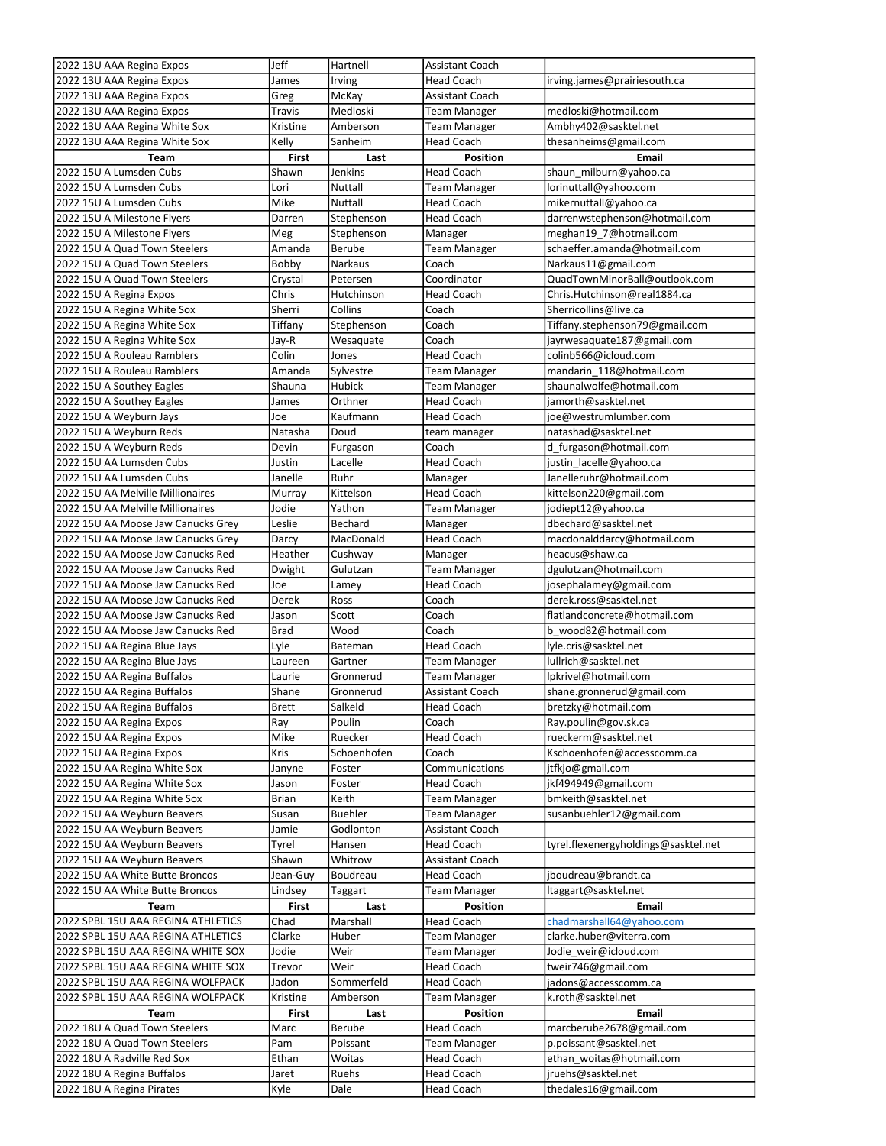| 2022 13U AAA Regina Expos          | Jeff         | Hartnell       | <b>Assistant Coach</b> |                                                    |
|------------------------------------|--------------|----------------|------------------------|----------------------------------------------------|
| 2022 13U AAA Regina Expos          | James        | Irving         | <b>Head Coach</b>      | irving.james@prairiesouth.ca                       |
| 2022 13U AAA Regina Expos          | Greg         | McKay          | Assistant Coach        |                                                    |
| 2022 13U AAA Regina Expos          | Travis       | Medloski       | <b>Team Manager</b>    | medloski@hotmail.com                               |
| 2022 13U AAA Regina White Sox      | Kristine     | Amberson       | Team Manager           | Ambhy402@sasktel.net                               |
| 2022 13U AAA Regina White Sox      | Kelly        | Sanheim        | Head Coach             | thesanheims@gmail.com                              |
| Team                               | <b>First</b> | Last           | <b>Position</b>        | Email                                              |
| 2022 15U A Lumsden Cubs            | Shawn        | Jenkins        | <b>Head Coach</b>      | shaun milburn@yahoo.ca                             |
| 2022 15U A Lumsden Cubs            | Lori         | Nuttall        | <b>Team Manager</b>    | lorinuttall@yahoo.com                              |
| 2022 15U A Lumsden Cubs            | Mike         | Nuttall        | Head Coach             | mikernuttall@yahoo.ca                              |
| 2022 15U A Milestone Flyers        | Darren       | Stephenson     | Head Coach             | darrenwstephenson@hotmail.com                      |
| 2022 15U A Milestone Flyers        | Meg          | Stephenson     | Manager                | meghan19 7@hotmail.com                             |
| 2022 15U A Quad Town Steelers      | Amanda       | <b>Berube</b>  | <b>Team Manager</b>    | schaeffer.amanda@hotmail.com                       |
| 2022 15U A Quad Town Steelers      | Bobby        | <b>Narkaus</b> | Coach                  | Narkaus11@gmail.com                                |
| 2022 15U A Quad Town Steelers      | Crystal      | Petersen       | Coordinator            | QuadTownMinorBall@outlook.com                      |
| 2022 15U A Regina Expos            | Chris        | Hutchinson     | <b>Head Coach</b>      | Chris.Hutchinson@real1884.ca                       |
| 2022 15U A Regina White Sox        | Sherri       | Collins        | Coach                  | Sherricollins@live.ca                              |
| 2022 15U A Regina White Sox        | Tiffany      | Stephenson     | Coach                  | Tiffany.stephenson79@gmail.com                     |
| 2022 15U A Regina White Sox        | Jay-R        | Wesaquate      | Coach                  | jayrwesaquate187@gmail.com                         |
| 2022 15U A Rouleau Ramblers        | Colin        | Jones          | Head Coach             | colinb566@icloud.com                               |
| 2022 15U A Rouleau Ramblers        | Amanda       | Sylvestre      | Team Manager           | mandarin 118@hotmail.com                           |
| 2022 15U A Southey Eagles          | Shauna       | Hubick         | Team Manager           | shaunalwolfe@hotmail.com                           |
| 2022 15U A Southey Eagles          | James        | Orthner        | Head Coach             | jamorth@sasktel.net                                |
| 2022 15U A Weyburn Jays            | Joe          | Kaufmann       | Head Coach             | joe@westrumlumber.com                              |
| 2022 15U A Weyburn Reds            | Natasha      | Doud           | team manager           | natashad@sasktel.net                               |
| 2022 15U A Weyburn Reds            | Devin        | Furgason       | Coach                  | d_furgason@hotmail.com                             |
| 2022 15U AA Lumsden Cubs           | Justin       | Lacelle        | <b>Head Coach</b>      | justin lacelle@yahoo.ca                            |
| 2022 15U AA Lumsden Cubs           | Janelle      | Ruhr           | Manager                | Janelleruhr@hotmail.com                            |
| 2022 15U AA Melville Millionaires  | Murray       | Kittelson      | <b>Head Coach</b>      | kittelson220@gmail.com                             |
| 2022 15U AA Melville Millionaires  | Jodie        | Yathon         | Team Manager           | jodiept12@yahoo.ca                                 |
| 2022 15U AA Moose Jaw Canucks Grey | Leslie       | Bechard        | Manager                | dbechard@sasktel.net                               |
| 2022 15U AA Moose Jaw Canucks Grey | Darcy        | MacDonald      | Head Coach             | macdonalddarcy@hotmail.com                         |
| 2022 15U AA Moose Jaw Canucks Red  | Heather      | Cushway        | Manager                | heacus@shaw.ca                                     |
| 2022 15U AA Moose Jaw Canucks Red  | Dwight       | Gulutzan       | <b>Team Manager</b>    | dgulutzan@hotmail.com                              |
|                                    |              |                |                        |                                                    |
| 2022 15U AA Moose Jaw Canucks Red  | Joe          | Lamey          | <b>Head Coach</b>      | josephalamey@gmail.com                             |
| 2022 15U AA Moose Jaw Canucks Red  | Derek        | Ross           | Coach                  | derek.ross@sasktel.net                             |
| 2022 15U AA Moose Jaw Canucks Red  | Jason        | Scott          | Coach                  | flatlandconcrete@hotmail.com                       |
| 2022 15U AA Moose Jaw Canucks Red  | <b>Brad</b>  | Wood           | Coach                  | b wood82@hotmail.com                               |
| 2022 15U AA Regina Blue Jays       | Lyle         | Bateman        | Head Coach             | lyle.cris@sasktel.net                              |
| 2022 15U AA Regina Blue Jays       | Laureen      | Gartner        | <b>Team Manager</b>    | lullrich@sasktel.net                               |
| 2022 15U AA Regina Buffalos        | Laurie       | Gronnerud      | <b>Team Manager</b>    | lpkrivel@hotmail.com                               |
| 2022 15U AA Regina Buffalos        | Shane        | Gronnerud      | <b>Assistant Coach</b> | shane.gronnerud@gmail.com                          |
| 2022 15U AA Regina Buffalos        | Brett        | Salkeld        | <b>Head Coach</b>      | bretzky@hotmail.com                                |
| 2022 15U AA Regina Expos           | Ray          | Poulin         | Coach                  | Ray.poulin@gov.sk.ca                               |
| 2022 15U AA Regina Expos           | Mike         | Ruecker        | <b>Head Coach</b>      | rueckerm@sasktel.net                               |
| 2022 15U AA Regina Expos           | Kris         | Schoenhofen    | Coach                  | Kschoenhofen@accesscomm.ca                         |
| 2022 15U AA Regina White Sox       | Janyne       | Foster         | Communications         | jtfkjo@gmail.com                                   |
| 2022 15U AA Regina White Sox       | Jason        | Foster         | <b>Head Coach</b>      | jkf494949@gmail.com                                |
| 2022 15U AA Regina White Sox       | Brian        | Keith          | Team Manager           | bmkeith@sasktel.net                                |
| 2022 15U AA Weyburn Beavers        | Susan        | <b>Buehler</b> | Team Manager           | susanbuehler12@gmail.com                           |
| 2022 15U AA Weyburn Beavers        | Jamie        | Godlonton      | Assistant Coach        |                                                    |
| 2022 15U AA Weyburn Beavers        | Tyrel        | Hansen         | Head Coach             | tyrel.flexenergyholdings@sasktel.net               |
| 2022 15U AA Weyburn Beavers        | Shawn        | Whitrow        | Assistant Coach        |                                                    |
| 2022 15U AA White Butte Broncos    | Jean-Guy     | Boudreau       | <b>Head Coach</b>      | jboudreau@brandt.ca                                |
| 2022 15U AA White Butte Broncos    | Lindsey      | Taggart        | Team Manager           | ltaggart@sasktel.net                               |
| Team                               | First        | Last           | Position               | <b>Email</b>                                       |
| 2022 SPBL 15U AAA REGINA ATHLETICS | Chad         | Marshall       | <b>Head Coach</b>      | chadmarshall64@yahoo.com                           |
| 2022 SPBL 15U AAA REGINA ATHLETICS | Clarke       | Huber          | Team Manager           | clarke.huber@viterra.com                           |
| 2022 SPBL 15U AAA REGINA WHITE SOX | Jodie        | Weir           | Team Manager           | Jodie_weir@icloud.com                              |
| 2022 SPBL 15U AAA REGINA WHITE SOX | Trevor       | Weir           | <b>Head Coach</b>      | tweir746@gmail.com                                 |
| 2022 SPBL 15U AAA REGINA WOLFPACK  | Jadon        | Sommerfeld     | Head Coach             |                                                    |
| 2022 SPBL 15U AAA REGINA WOLFPACK  | Kristine     | Amberson       | Team Manager           | jadons@accesscomm.ca<br>k.roth@sasktel.net         |
| Team                               | First        | Last           | <b>Position</b>        | Email                                              |
| 2022 18U A Quad Town Steelers      |              | Berube         | <b>Head Coach</b>      |                                                    |
| 2022 18U A Quad Town Steelers      | Marc<br>Pam  | Poissant       | <b>Team Manager</b>    | marcberube2678@gmail.com<br>p.poissant@sasktel.net |
| 2022 18U A Radville Red Sox        | Ethan        | Woitas         | <b>Head Coach</b>      | ethan woitas@hotmail.com                           |
| 2022 18U A Regina Buffalos         | Jaret        | Ruehs          | <b>Head Coach</b>      | jruehs@sasktel.net                                 |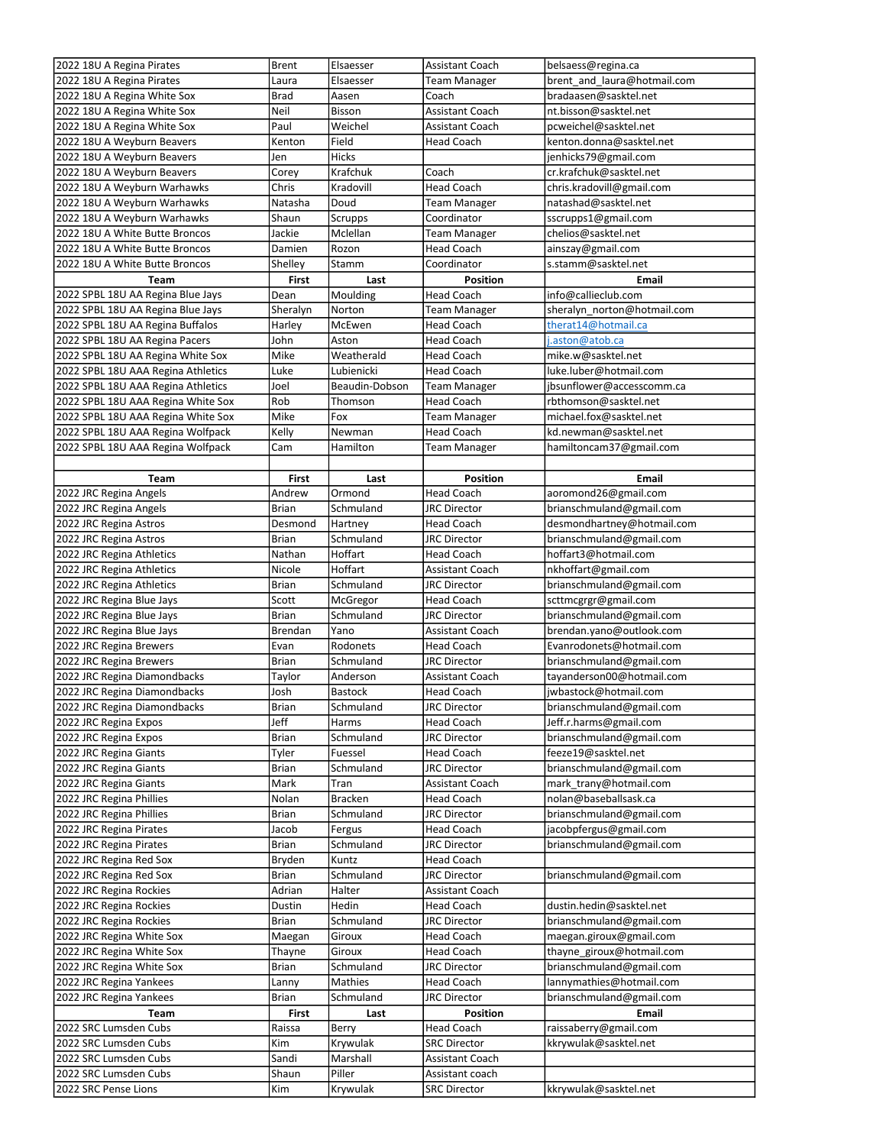| 2022 18U A Regina Pirates          | Brent        | Elsaesser      | Assistant Coach     | belsaess@regina.ca          |
|------------------------------------|--------------|----------------|---------------------|-----------------------------|
| 2022 18U A Regina Pirates          | Laura        | Elsaesser      | <b>Team Manager</b> | brent and laura@hotmail.com |
| 2022 18U A Regina White Sox        | <b>Brad</b>  | Aasen          | Coach               | bradaasen@sasktel.net       |
| 2022 18U A Regina White Sox        | Neil         | Bisson         | Assistant Coach     | nt.bisson@sasktel.net       |
| 2022 18U A Regina White Sox        | Paul         | Weichel        | Assistant Coach     | pcweichel@sasktel.net       |
| 2022 18U A Weyburn Beavers         | Kenton       | Field          | Head Coach          | kenton.donna@sasktel.net    |
| 2022 18U A Weyburn Beavers         | Jen          | <b>Hicks</b>   |                     | jenhicks79@gmail.com        |
|                                    |              |                |                     |                             |
| 2022 18U A Weyburn Beavers         | Corey        | Krafchuk       | Coach               | cr.krafchuk@sasktel.net     |
| 2022 18U A Weyburn Warhawks        | Chris        | Kradovill      | <b>Head Coach</b>   | chris.kradovill@gmail.com   |
| 2022 18U A Weyburn Warhawks        | Natasha      | Doud           | Team Manager        | natashad@sasktel.net        |
| 2022 18U A Weyburn Warhawks        | Shaun        | Scrupps        | Coordinator         | sscrupps1@gmail.com         |
| 2022 18U A White Butte Broncos     | Jackie       | Mclellan       | <b>Team Manager</b> | chelios@sasktel.net         |
| 2022 18U A White Butte Broncos     | Damien       | Rozon          | Head Coach          | ainszay@gmail.com           |
| 2022 18U A White Butte Broncos     | Shelley      | Stamm          | Coordinator         | s.stamm@sasktel.net         |
| Team                               | <b>First</b> | Last           | Position            | Email                       |
| 2022 SPBL 18U AA Regina Blue Jays  | Dean         | Moulding       | <b>Head Coach</b>   | info@callieclub.com         |
|                                    |              | Norton         |                     | sheralyn_norton@hotmail.com |
| 2022 SPBL 18U AA Regina Blue Jays  | Sheralyn     |                | Team Manager        |                             |
| 2022 SPBL 18U AA Regina Buffalos   | Harley       | McEwen         | <b>Head Coach</b>   | therat14@hotmail.ca         |
| 2022 SPBL 18U AA Regina Pacers     | John         | Aston          | <b>Head Coach</b>   | j.aston@atob.ca             |
| 2022 SPBL 18U AA Regina White Sox  | Mike         | Weatherald     | Head Coach          | mike.w@sasktel.net          |
| 2022 SPBL 18U AAA Regina Athletics | Luke         | Lubienicki     | <b>Head Coach</b>   | luke.luber@hotmail.com      |
| 2022 SPBL 18U AAA Regina Athletics | Joel         | Beaudin-Dobson | <b>Team Manager</b> | jbsunflower@accesscomm.ca   |
| 2022 SPBL 18U AAA Regina White Sox | Rob          | Thomson        | <b>Head Coach</b>   | rbthomson@sasktel.net       |
| 2022 SPBL 18U AAA Regina White Sox | Mike         | Fox            | Team Manager        | michael.fox@sasktel.net     |
| 2022 SPBL 18U AAA Regina Wolfpack  | Kelly        | Newman         | <b>Head Coach</b>   | kd.newman@sasktel.net       |
| 2022 SPBL 18U AAA Regina Wolfpack  | Cam          | Hamilton       |                     | hamiltoncam37@gmail.com     |
|                                    |              |                | Team Manager        |                             |
|                                    |              |                |                     |                             |
| Team                               | First        | Last           | <b>Position</b>     | <b>Email</b>                |
| 2022 JRC Regina Angels             | Andrew       | Ormond         | <b>Head Coach</b>   | aoromond26@gmail.com        |
| 2022 JRC Regina Angels             | Brian        | Schmuland      | <b>JRC Director</b> | brianschmuland@gmail.com    |
| 2022 JRC Regina Astros             | Desmond      | Hartney        | Head Coach          | desmondhartney@hotmail.com  |
| 2022 JRC Regina Astros             | Brian        | Schmuland      | <b>JRC Director</b> | brianschmuland@gmail.com    |
| 2022 JRC Regina Athletics          | Nathan       | Hoffart        | Head Coach          | hoffart3@hotmail.com        |
| 2022 JRC Regina Athletics          | Nicole       | Hoffart        | Assistant Coach     | nkhoffart@gmail.com         |
| 2022 JRC Regina Athletics          | Brian        | Schmuland      | <b>JRC Director</b> | brianschmuland@gmail.com    |
|                                    |              |                |                     |                             |
| 2022 JRC Regina Blue Jays          | Scott        | McGregor       | Head Coach          | scttmcgrgr@gmail.com        |
| 2022 JRC Regina Blue Jays          | <b>Brian</b> | Schmuland      | <b>JRC Director</b> | brianschmuland@gmail.com    |
| 2022 JRC Regina Blue Jays          | Brendan      | Yano           | Assistant Coach     | brendan.yano@outlook.com    |
| 2022 JRC Regina Brewers            | Evan         | Rodonets       | Head Coach          | Evanrodonets@hotmail.com    |
| 2022 JRC Regina Brewers            | Brian        | Schmuland      | <b>JRC Director</b> | brianschmuland@gmail.com    |
| 2022 JRC Regina Diamondbacks       | Taylor       | Anderson       | Assistant Coach     | tayanderson00@hotmail.com   |
| 2022 JRC Regina Diamondbacks       | Josh         | Bastock        | Head Coach          | jwbastock@hotmail.com       |
| 2022 JRC Regina Diamondbacks       | <b>Brian</b> | Schmuland      | <b>JRC Director</b> | brianschmuland@gmail.com    |
| 2022 JRC Regina Expos              | Jeff         | Harms          | Head Coach          | Jeff.r.harms@gmail.com      |
| 2022 JRC Regina Expos              | Brian        | Schmuland      | <b>JRC Director</b> | brianschmuland@gmail.com    |
|                                    |              |                |                     |                             |
| 2022 JRC Regina Giants             | Tyler        | Fuessel        | Head Coach          | feeze19@sasktel.net         |
| 2022 JRC Regina Giants             | Brian        | Schmuland      | <b>JRC Director</b> | brianschmuland@gmail.com    |
| 2022 JRC Regina Giants             | Mark         | Tran           | Assistant Coach     | mark trany@hotmail.com      |
| 2022 JRC Regina Phillies           | Nolan        | <b>Bracken</b> | <b>Head Coach</b>   | nolan@baseballsask.ca       |
| 2022 JRC Regina Phillies           | Brian        | Schmuland      | JRC Director        | brianschmuland@gmail.com    |
| 2022 JRC Regina Pirates            | Jacob        | Fergus         | Head Coach          | jacobpfergus@gmail.com      |
| 2022 JRC Regina Pirates            | Brian        | Schmuland      | JRC Director        | brianschmuland@gmail.com    |
| 2022 JRC Regina Red Sox            | Bryden       | Kuntz          | <b>Head Coach</b>   |                             |
| 2022 JRC Regina Red Sox            | Brian        | Schmuland      | JRC Director        | brianschmuland@gmail.com    |
| 2022 JRC Regina Rockies            |              | Halter         |                     |                             |
|                                    | Adrian       |                | Assistant Coach     |                             |
| 2022 JRC Regina Rockies            | Dustin       | Hedin          | Head Coach          | dustin.hedin@sasktel.net    |
| 2022 JRC Regina Rockies            | Brian        | Schmuland      | <b>JRC Director</b> | brianschmuland@gmail.com    |
| 2022 JRC Regina White Sox          | Maegan       | Giroux         | Head Coach          | maegan.giroux@gmail.com     |
| 2022 JRC Regina White Sox          | Thayne       | Giroux         | Head Coach          | thayne_giroux@hotmail.com   |
| 2022 JRC Regina White Sox          | Brian        | Schmuland      | JRC Director        | brianschmuland@gmail.com    |
| 2022 JRC Regina Yankees            | Lanny        | Mathies        | Head Coach          | lannymathies@hotmail.com    |
| 2022 JRC Regina Yankees            | <b>Brian</b> | Schmuland      | JRC Director        | brianschmuland@gmail.com    |
| Team                               | First        | Last           | Position            | Email                       |
| 2022 SRC Lumsden Cubs              | Raissa       |                | <b>Head Coach</b>   | raissaberry@gmail.com       |
|                                    |              | Berry          |                     |                             |
| 2022 SRC Lumsden Cubs              | Kim          | Krywulak       | <b>SRC Director</b> | kkrywulak@sasktel.net       |
| 2022 SRC Lumsden Cubs              | Sandi        | Marshall       | Assistant Coach     |                             |
| 2022 SRC Lumsden Cubs              | Shaun        | Piller         | Assistant coach     |                             |
| 2022 SRC Pense Lions               | Kim          | Krywulak       | <b>SRC Director</b> | kkrywulak@sasktel.net       |